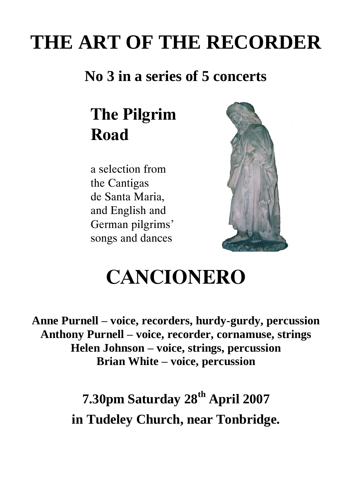## **THE ART OF THE RECORDER**

### **No 3 in a series of 5 concerts**

## **The Pilgrim Road**

a selection from the Cantigas de Santa Maria, and English and German pilgrims' songs and dances



## **CANCIONERO**

**Anne Purnell – voice, recorders, hurdy-gurdy, percussion Anthony Purnell – voice, recorder, cornamuse, strings Helen Johnson – voice, strings, percussion Brian White – voice, percussion**

### **7.30pm Saturday 28th April 2007 in Tudeley Church, near Tonbridge.**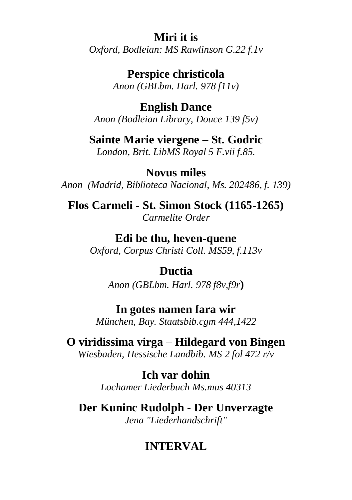#### **Miri it is**

*Oxford, Bodleian: MS Rawlinson G.22 f.1v*

**Perspice christicola** *Anon (GBLbm. Harl. 978 f11v)*

**English Dance** *Anon (Bodleian Library, Douce 139 f5v)*

**Sainte Marie viergene – St. Godric**

*London, Brit. LibMS Royal 5 F.vii f.85.*

**Novus miles** *Anon (Madrid, Biblioteca Nacional, Ms. 202486, f. 139)*

**Flos Carmeli - St. Simon Stock (1165-1265)** *Carmelite Order*

> **Edi be thu, heven-quene** *Oxford, Corpus Christi Coll. MS59, f.113v*

#### **Ductia**

*Anon (GBLbm. Harl. 978 f8v,f9r***)**

**In gotes namen fara wir** *München, Bay. Staatsbib.cgm 444,1422*

**O viridissima virga – Hildegard von Bingen** *Wiesbaden, Hessische Landbib. MS 2 fol 472 r/v*

> **Ich var dohin** *Lochamer Liederbuch Ms.mus 40313*

**Der Kuninc Rudolph - Der Unverzagte** *Jena "Liederhandschrift"*

#### **INTERVAL**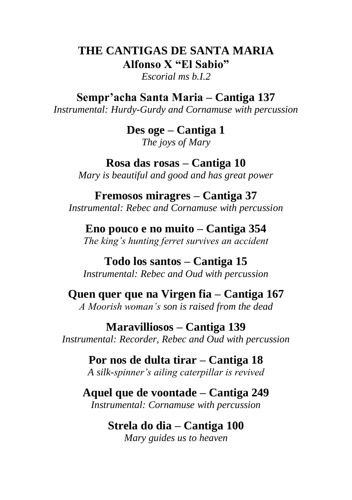#### **THE CANTIGAS DE SANTA MARIA Alfonso X "El Sabio"**

*Escorial ms b.I.2*

**Sempr'acha Santa Maria – Cantiga 137**

*Instrumental: Hurdy-Gurdy and Cornamuse with percussion*

**Des oge – Cantiga 1** *The joys of Mary*

**Rosa das rosas – Cantiga 10** *Mary is beautiful and good and has great power*

**Fremosos miragres – Cantiga 37** *Instrumental: Rebec and Cornamuse with percussion*

**Eno pouco e no muito – Cantiga 354** *The king's hunting ferret survives an accident*

**Todo los santos – Cantiga 15** *Instrumental: Rebec and Oud with percussion*

**Quen quer que na Virgen fia – Cantiga 167** *A Moorish woman's son is raised from the dead*

**Maravilliosos – Cantiga 139** *Instrumental: Recorder, Rebec and Oud with percussion*

> **Por nos de dulta tirar – Cantiga 18** *A silk-spinner's ailing caterpillar is revived*

**Aquel que de voontade – Cantiga 249** *Instrumental: Cornamuse with percussion*

#### **Strela do dia – Cantiga 100** *Mary guides us to heaven*